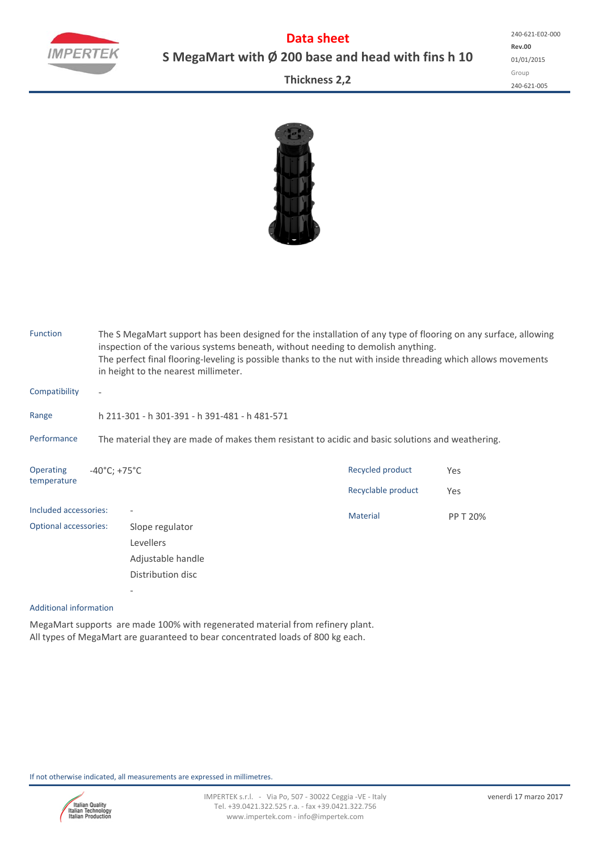

**Data sheet S MegaMart with Ø 200 base and head with fins h 10**

**Rev.00** 01/01/2015 Group 240‐621‐005 240‐621‐E02‐000

**Thickness 2,2**



| <b>Function</b>                 |                                                                                                  | The S MegaMart support has been designed for the installation of any type of flooring on any surface, allowing<br>inspection of the various systems beneath, without needing to demolish anything.<br>The perfect final flooring-leveling is possible thanks to the nut with inside threading which allows movements<br>in height to the nearest millimeter. |                                        |            |  |  |  |  |  |
|---------------------------------|--------------------------------------------------------------------------------------------------|--------------------------------------------------------------------------------------------------------------------------------------------------------------------------------------------------------------------------------------------------------------------------------------------------------------------------------------------------------------|----------------------------------------|------------|--|--|--|--|--|
| Compatibility                   | $\overline{\phantom{a}}$                                                                         |                                                                                                                                                                                                                                                                                                                                                              |                                        |            |  |  |  |  |  |
| Range                           |                                                                                                  | h 211-301 - h 301-391 - h 391-481 - h 481-571                                                                                                                                                                                                                                                                                                                |                                        |            |  |  |  |  |  |
| Performance                     | The material they are made of makes them resistant to acidic and basic solutions and weathering. |                                                                                                                                                                                                                                                                                                                                                              |                                        |            |  |  |  |  |  |
| <b>Operating</b><br>temperature | $-40^{\circ}$ C; +75 $^{\circ}$ C                                                                |                                                                                                                                                                                                                                                                                                                                                              | Recycled product<br>Recyclable product | Yes<br>Yes |  |  |  |  |  |
| Included accessories:           |                                                                                                  |                                                                                                                                                                                                                                                                                                                                                              | <b>Material</b>                        | PP T 20%   |  |  |  |  |  |
| <b>Optional accessories:</b>    |                                                                                                  | Slope regulator                                                                                                                                                                                                                                                                                                                                              |                                        |            |  |  |  |  |  |
|                                 |                                                                                                  | Levellers                                                                                                                                                                                                                                                                                                                                                    |                                        |            |  |  |  |  |  |
|                                 |                                                                                                  | Adjustable handle                                                                                                                                                                                                                                                                                                                                            |                                        |            |  |  |  |  |  |
|                                 |                                                                                                  | Distribution disc                                                                                                                                                                                                                                                                                                                                            |                                        |            |  |  |  |  |  |
|                                 |                                                                                                  |                                                                                                                                                                                                                                                                                                                                                              |                                        |            |  |  |  |  |  |

## Additional information

MegaMart supports are made 100% with regenerated material from refinery plant. All types of MegaMart are guaranteed to bear concentrated loads of 800 kg each.

If not otherwise indicated, all measurements are expressed in millimetres.